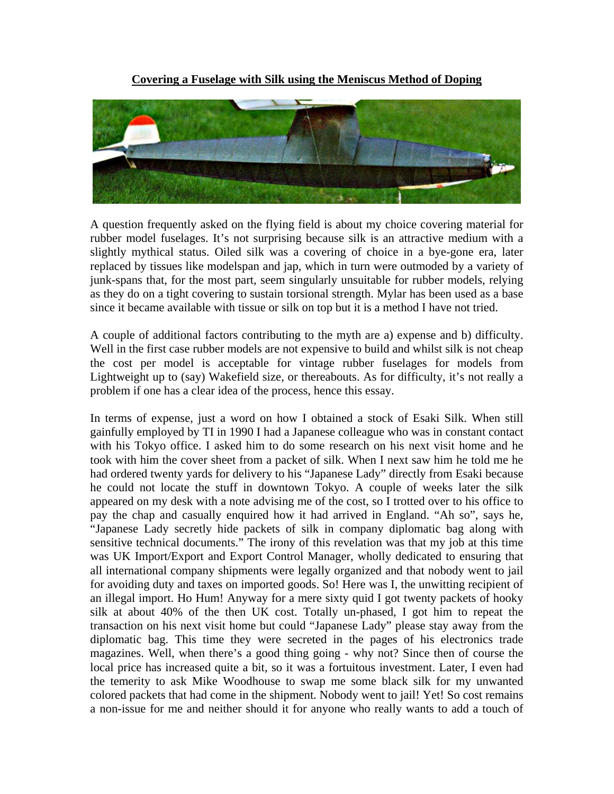**Covering a Fuselage with Silk using the Meniscus Method of Doping**



A question frequently asked on the flying field is about my choice covering material for rubber model fuselages. It's not surprising because silk is an attractive medium with a slightly mythical status. Oiled silk was a covering of choice in a bye-gone era, later replaced by tissues like modelspan and jap, which in turn were outmoded by a variety of junk-spans that, for the most part, seem singularly unsuitable for rubber models, relying as they do on a tight covering to sustain torsional strength. Mylar has been used as a base since it became available with tissue or silk on top but it is a method I have not tried.

A couple of additional factors contributing to the myth are a) expense and b) difficulty. Well in the first case rubber models are not expensive to build and whilst silk is not cheap the cost per model is acceptable for vintage rubber fuselages for models from Lightweight up to (say) Wakefield size, or thereabouts. As for difficulty, it's not really a problem if one has a clear idea of the process, hence this essay.

In terms of expense, just a word on how I obtained a stock of Esaki Silk. When still gainfully employed by TI in 1990 I had a Japanese colleague who was in constant contact with his Tokyo office. I asked him to do some research on his next visit home and he took with him the cover sheet from a packet of silk. When I next saw him he told me he had ordered twenty yards for delivery to his "Japanese Lady" directly from Esaki because he could not locate the stuff in downtown Tokyo. A couple of weeks later the silk appeared on my desk with a note advising me of the cost, so I trotted over to his office to pay the chap and casually enquired how it had arrived in England. "Ah so", says he, "Japanese Lady secretly hide packets of silk in company diplomatic bag along with sensitive technical documents." The irony of this revelation was that my job at this time was UK Import/Export and Export Control Manager, wholly dedicated to ensuring that all international company shipments were legally organized and that nobody went to jail for avoiding duty and taxes on imported goods. So! Here was I, the unwitting recipient of an illegal import. Ho Hum! Anyway for a mere sixty quid I got twenty packets of hooky silk at about 40% of the then UK cost. Totally un-phased, I got him to repeat the transaction on his next visit home but could "Japanese Lady" please stay away from the diplomatic bag. This time they were secreted in the pages of his electronics trade magazines. Well, when there's a good thing going - why not? Since then of course the local price has increased quite a bit, so it was a fortuitous investment. Later, I even had the temerity to ask Mike Woodhouse to swap me some black silk for my unwanted colored packets that had come in the shipment. Nobody went to jail! Yet! So cost remains a non-issue for me and neither should it for anyone who really wants to add a touch of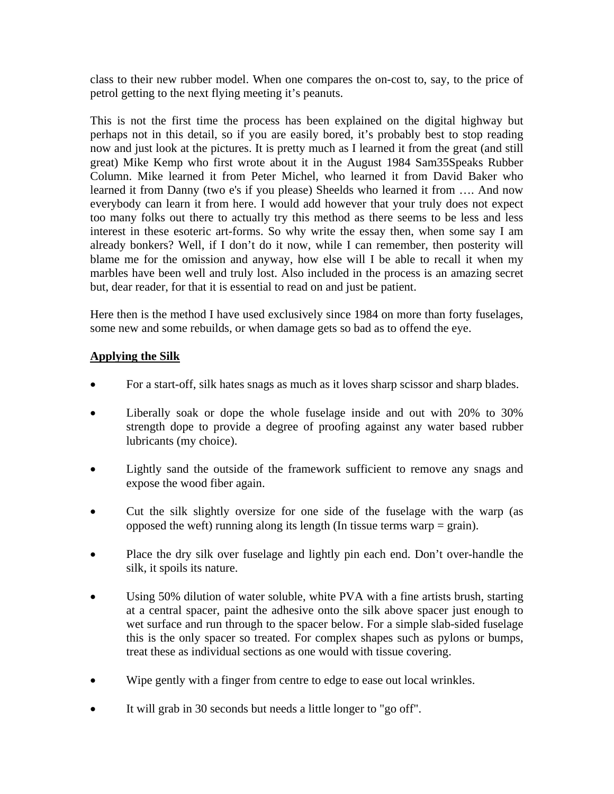class to their new rubber model. When one compares the on-cost to, say, to the price of petrol getting to the next flying meeting it's peanuts.

This is not the first time the process has been explained on the digital highway but perhaps not in this detail, so if you are easily bored, it's probably best to stop reading now and just look at the pictures. It is pretty much as I learned it from the great (and still great) Mike Kemp who first wrote about it in the August 1984 Sam35Speaks Rubber Column. Mike learned it from Peter Michel, who learned it from David Baker who learned it from Danny (two e's if you please) Sheelds who learned it from …. And now everybody can learn it from here. I would add however that your truly does not expect too many folks out there to actually try this method as there seems to be less and less interest in these esoteric art-forms. So why write the essay then, when some say I am already bonkers? Well, if I don't do it now, while I can remember, then posterity will blame me for the omission and anyway, how else will I be able to recall it when my marbles have been well and truly lost. Also included in the process is an amazing secret but, dear reader, for that it is essential to read on and just be patient.

Here then is the method I have used exclusively since 1984 on more than forty fuselages, some new and some rebuilds, or when damage gets so bad as to offend the eye.

## **Applying the Silk**

- For a start-off, silk hates snags as much as it loves sharp scissor and sharp blades.
- Liberally soak or dope the whole fuselage inside and out with 20% to 30% strength dope to provide a degree of proofing against any water based rubber lubricants (my choice).
- Lightly sand the outside of the framework sufficient to remove any snags and expose the wood fiber again.
- Cut the silk slightly oversize for one side of the fuselage with the warp (as opposed the weft) running along its length (In tissue terms warp  $=$  grain).
- Place the dry silk over fuselage and lightly pin each end. Don't over-handle the silk, it spoils its nature.
- Using 50% dilution of water soluble, white PVA with a fine artists brush, starting at a central spacer, paint the adhesive onto the silk above spacer just enough to wet surface and run through to the spacer below. For a simple slab-sided fuselage this is the only spacer so treated. For complex shapes such as pylons or bumps, treat these as individual sections as one would with tissue covering.
- Wipe gently with a finger from centre to edge to ease out local wrinkles.
- It will grab in 30 seconds but needs a little longer to "go off".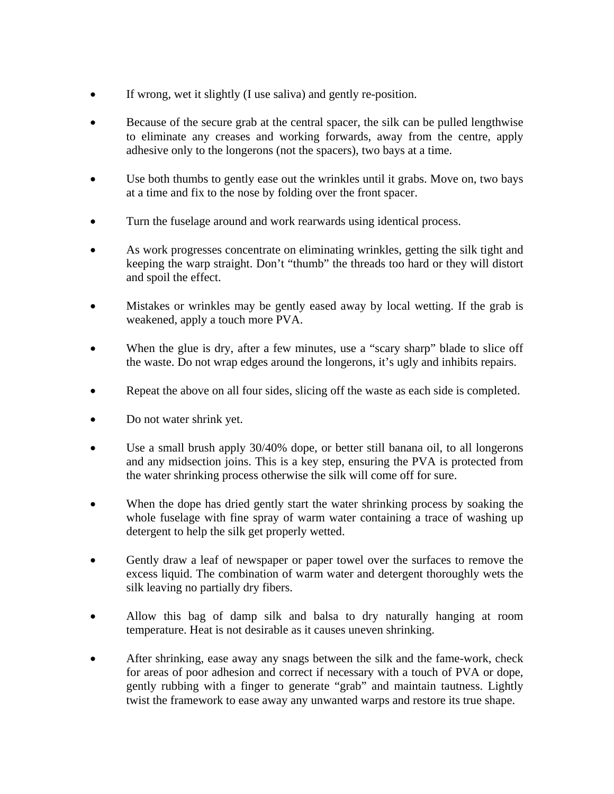- If wrong, wet it slightly (I use saliva) and gently re-position.
- Because of the secure grab at the central spacer, the silk can be pulled lengthwise to eliminate any creases and working forwards, away from the centre, apply adhesive only to the longerons (not the spacers), two bays at a time.
- Use both thumbs to gently ease out the wrinkles until it grabs. Move on, two bays at a time and fix to the nose by folding over the front spacer.
- Turn the fuselage around and work rearwards using identical process.
- As work progresses concentrate on eliminating wrinkles, getting the silk tight and keeping the warp straight. Don't "thumb" the threads too hard or they will distort and spoil the effect.
- Mistakes or wrinkles may be gently eased away by local wetting. If the grab is weakened, apply a touch more PVA.
- When the glue is dry, after a few minutes, use a "scary sharp" blade to slice off the waste. Do not wrap edges around the longerons, it's ugly and inhibits repairs.
- Repeat the above on all four sides, slicing off the waste as each side is completed.
- Do not water shrink yet.
- Use a small brush apply 30/40% dope, or better still banana oil, to all longerons and any midsection joins. This is a key step, ensuring the PVA is protected from the water shrinking process otherwise the silk will come off for sure.
- When the dope has dried gently start the water shrinking process by soaking the whole fuselage with fine spray of warm water containing a trace of washing up detergent to help the silk get properly wetted.
- Gently draw a leaf of newspaper or paper towel over the surfaces to remove the excess liquid. The combination of warm water and detergent thoroughly wets the silk leaving no partially dry fibers.
- Allow this bag of damp silk and balsa to dry naturally hanging at room temperature. Heat is not desirable as it causes uneven shrinking.
- After shrinking, ease away any snags between the silk and the fame-work, check for areas of poor adhesion and correct if necessary with a touch of PVA or dope, gently rubbing with a finger to generate "grab" and maintain tautness. Lightly twist the framework to ease away any unwanted warps and restore its true shape.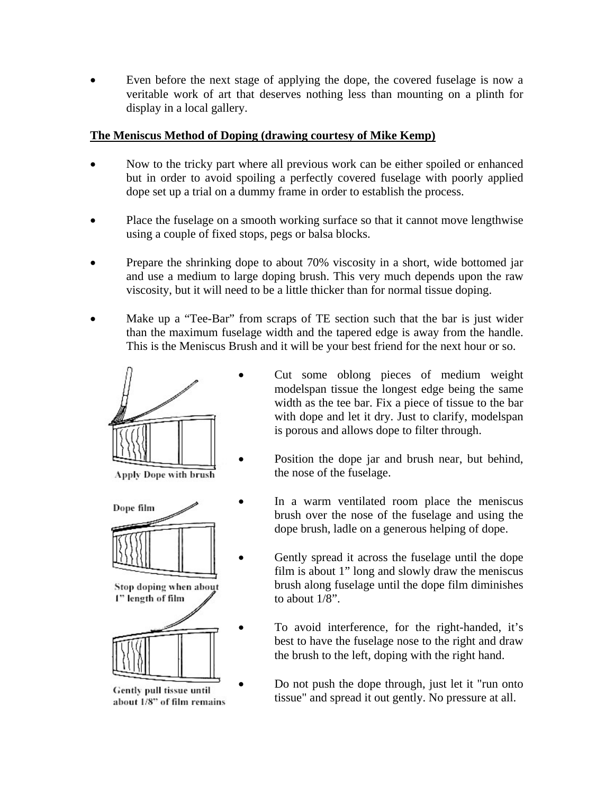Even before the next stage of applying the dope, the covered fuselage is now a veritable work of art that deserves nothing less than mounting on a plinth for display in a local gallery.

## **The Meniscus Method of Doping (drawing courtesy of Mike Kemp)**

- Now to the tricky part where all previous work can be either spoiled or enhanced but in order to avoid spoiling a perfectly covered fuselage with poorly applied dope set up a trial on a dummy frame in order to establish the process.
- Place the fuselage on a smooth working surface so that it cannot move lengthwise using a couple of fixed stops, pegs or balsa blocks.
- Prepare the shrinking dope to about 70% viscosity in a short, wide bottomed jar and use a medium to large doping brush. This very much depends upon the raw viscosity, but it will need to be a little thicker than for normal tissue doping.
- Make up a "Tee-Bar" from scraps of TE section such that the bar is just wider than the maximum fuselage width and the tapered edge is away from the handle. This is the Meniscus Brush and it will be your best friend for the next hour or so.



Apply Dope with brush



Stop doping when about I" length of film



Gently pull tissue until about 1/8" of film remains

- Cut some oblong pieces of medium weight modelspan tissue the longest edge being the same width as the tee bar. Fix a piece of tissue to the bar with dope and let it dry. Just to clarify, modelspan is porous and allows dope to filter through.
- Position the dope jar and brush near, but behind, the nose of the fuselage.
- In a warm ventilated room place the meniscus brush over the nose of the fuselage and using the dope brush, ladle on a generous helping of dope.
- Gently spread it across the fuselage until the dope film is about 1" long and slowly draw the meniscus brush along fuselage until the dope film diminishes to about 1/8".
	- To avoid interference, for the right-handed, it's best to have the fuselage nose to the right and draw the brush to the left, doping with the right hand.
	- Do not push the dope through, just let it "run onto tissue" and spread it out gently. No pressure at all.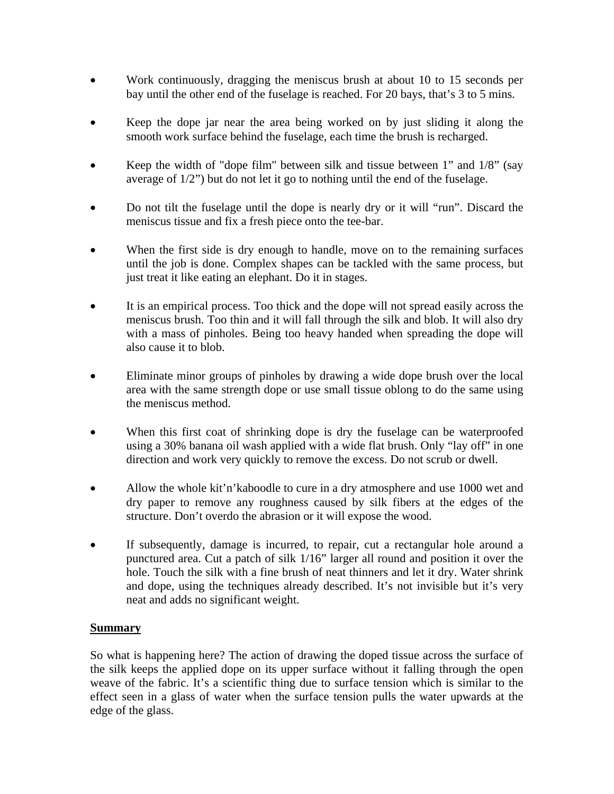- Work continuously, dragging the meniscus brush at about 10 to 15 seconds per bay until the other end of the fuselage is reached. For 20 bays, that's 3 to 5 mins.
- Keep the dope jar near the area being worked on by just sliding it along the smooth work surface behind the fuselage, each time the brush is recharged.
- Keep the width of "dope film" between silk and tissue between 1" and 1/8" (say average of 1/2") but do not let it go to nothing until the end of the fuselage.
- Do not tilt the fuselage until the dope is nearly dry or it will "run". Discard the meniscus tissue and fix a fresh piece onto the tee-bar.
- When the first side is dry enough to handle, move on to the remaining surfaces until the job is done. Complex shapes can be tackled with the same process, but just treat it like eating an elephant. Do it in stages.
- It is an empirical process. Too thick and the dope will not spread easily across the meniscus brush. Too thin and it will fall through the silk and blob. It will also dry with a mass of pinholes. Being too heavy handed when spreading the dope will also cause it to blob.
- Eliminate minor groups of pinholes by drawing a wide dope brush over the local area with the same strength dope or use small tissue oblong to do the same using the meniscus method.
- When this first coat of shrinking dope is dry the fuselage can be waterproofed using a 30% banana oil wash applied with a wide flat brush. Only "lay off" in one direction and work very quickly to remove the excess. Do not scrub or dwell.
- Allow the whole kit'n'kaboodle to cure in a dry atmosphere and use 1000 wet and dry paper to remove any roughness caused by silk fibers at the edges of the structure. Don't overdo the abrasion or it will expose the wood.
- If subsequently, damage is incurred, to repair, cut a rectangular hole around a punctured area. Cut a patch of silk 1/16" larger all round and position it over the hole. Touch the silk with a fine brush of neat thinners and let it dry. Water shrink and dope, using the techniques already described. It's not invisible but it's very neat and adds no significant weight.

## **Summary**

So what is happening here? The action of drawing the doped tissue across the surface of the silk keeps the applied dope on its upper surface without it falling through the open weave of the fabric. It's a scientific thing due to surface tension which is similar to the effect seen in a glass of water when the surface tension pulls the water upwards at the edge of the glass.